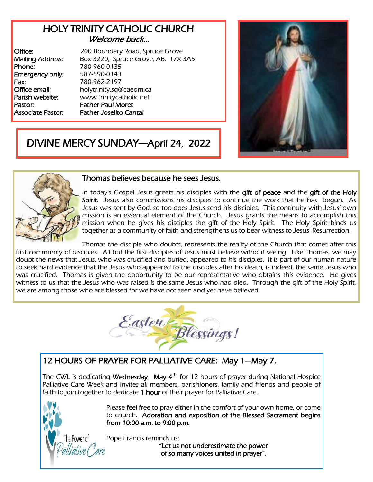## HOLY TRINITY CATHOLIC CHURCH Welcome back…

Phone: 780-960-0135 Emergency only: 587-590-0143 Fax: 780-962-2197 Pastor: Father Paul Moret

Office: 200 Boundary Road, Spruce Grove Mailing Address: Box 3220, Spruce Grove, AB. T7X 3A5 **Office email:** holytrinity.sg@caedm.ca Parish website: [www.trinitycatholic.net](http://www.trinitycatholic.net)  Associate Pastor: Father Joselito Cantal



# DIVINE MERCY SUNDAY—April 24, 2022



#### Thomas believes because he sees Jesus.

In today's Gospel Jesus greets his disciples with the gift of peace and the gift of the Holy Spirit. Jesus also commissions his disciples to continue the work that he has begun. As Jesus was sent by God, so too does Jesus send his disciples. This continuity with Jesus' own mission is an essential element of the Church. Jesus grants the means to accomplish this mission when he gives his disciples the gift of the Holy Spirit. The Holy Spirit binds us together as a community of faith and strengthens us to bear witness to Jesus' Resurrection.

Thomas the disciple who doubts, represents the reality of the Church that comes after this first community of disciples. All but the first disciples of Jesus must believe without seeing. Like Thomas, we may doubt the news that Jesus, who was crucified and buried, appeared to his disciples. It is part of our human nature to seek hard evidence that the Jesus who appeared to the disciples after his death, is indeed, the same Jesus who was crucified. Thomas is given the opportunity to be our representative who obtains this evidence. He gives witness to us that the Jesus who was raised is the same Jesus who had died. Through the gift of the Holy Spirit, we are among those who are blessed for we have not seen and yet have believed.



# 12 HOURS OF PRAYER FOR PALLIATIVE CARE: May 1—May 7.

The CWL is dedicating **Wednesday, May 4<sup>th</sup> for 12 hours of prayer during National Hospice** Palliative Care Week and invites all members, parishioners, family and friends and people of faith to join together to dedicate 1 hour of their prayer for Palliative Care.



Please feel free to pray either in the comfort of your own home, or come to church. Adoration and exposition of the Blessed Sacrament begins from 10:00 a.m. to 9:00 p.m.

Pope Francis reminds us:

"Let us not underestimate the power of so many voices united in prayer".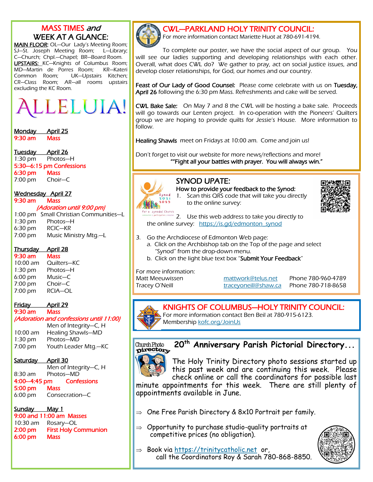# MASS TIMES and WEEK AT A GLANCE:

MAIN FLOOR: OL-Our Lady's Meeting Room; SJ—St. Joseph Meeting Room; L—Library; C—Church; Chpl.—Chapel; BR—Board Room. **UPSTAIRS:** KC-Knights of Columbus Room; MD—Martin de Porres Room; KR—Kateri Common Room; UK—Upstairs Kitchen; CR—Class Room; AR—all rooms upstairs excluding the KC Room.

LELUIA!

Monday April 25 9:30 am Mass

Tuesday April 26 1:30 pm Photos—H 5:30—6:15 pm Confessions 6:30 pm Mass 7:00 pm Choir—C

Wednesday April 27 9:30 am Mass

#### (Adoration until 9:00 pm)

1:00 pm Small Christian Communities—L 1:30 pm Photos—H 6:30 pm RCIC—KR 7:00 pm Music Ministry Mtg.—L

#### Thursday April 28

9:30 am Mass 10:00 am Quilters—KC 1:30 pm Photos—H 6:00 pm Music—C 7:00 pm Choir—C 7:00 pm RCIA—OL

#### Friday April 29 9:30 am Mass

(Adoration and confessions until 11:00) Men of Integrity—C, H

10:00 am Healing Shawls—MD 1:30 pm Photos—MD 7:00 pm Youth Leader Mtg.—KC

Saturday April 30

Men of Integrity—C, H 8:30 am Photos—MD 4:00—4:45 pm Confessions 5:00 pm 6:00 pm Consecration—C

# Sunday May 1

9:00 and 11:00 am Masses 10:30 am Rosary—OL 2:00 pm First Holy Communion 6:00 pm Mass



CWL—PARKLAND HOLY TRINITY COUNCIL:

For more information contact Mariette Huot at 780-691-4194.

To complete our poster, we have the social aspect of our group. You will see our ladies supporting and developing relationships with each other. Overall, what does CWL do? We gather to pray, act on social justice issues, and develop closer relationships, for God, our homes and our country.

Feast of Our Lady of Good Counsel: Please come celebrate with us on Tuesday, April 26 following the 6:30 pm Mass. Refreshments and cake will be served.

CWL Bake Sale: On May 7 and 8 the CWL will be hosting a bake sale. Proceeds will go towards our Lenten project. In co-operation with the Pioneers' Quilters group we are hoping to provide quilts for Jessie's House. More information to follow.

Healing Shawls meet on Fridays at 10:00 am. Come and join us!

Don't forget to visit our website for more news/reflections and more! ""Fight all your battles with prayer. You will always win."

# SYNOD UPATE:



How to provide your feedback to the Synod: 1. Scan this QRS code that will take you directly to the online survey:



2. Use this web address to take you directly to the online survey: [https://is.gd/edmonton\\_synod](https://is.gd/edmonton_synod)

- 3. Go the Archdiocese of Edmonton Web page:
	- a. Click on the Archbishop tab on the Top of the page and select "Synod" from the drop-down menu.
	- b. Click on the light blue text box "Submit Your Feedback"

For more information:

Matt Meeuwissen [mattwork@telus.net](mailto:mattwork@telus.net) Phone 780-960-4789 Tracey O'Neill **traceyoneill@shaw.ca** Phone 780-718-8658

# KNIGHTS OF COLUMBUS—HOLY TRINITY COUNCIL:

For more information contact Ben Beil at 780-915-6123. Membership [kofc.org/JoinUs](https://kofc.org/JoinUs)

#### **20th Anniversary Parish Pictorial Directory...** Church Photo pirectory



The Holy Trinity Directory photo sessions started up this past week and are continuing this week. Please check online or call the coordinators for possible last

minute appointments for this week. There are still plenty of appointments available in June.

- $\Rightarrow$  One Free Parish Directory & 8x10 Portrait per family.
- $\Rightarrow$  Opportunity to purchase studio-quality portraits at competitive prices (no obligation).



 $\Rightarrow$  Book via https://trinitycatholic.net\_or, call the Coordinators Roy & Sarah 780-868-8850.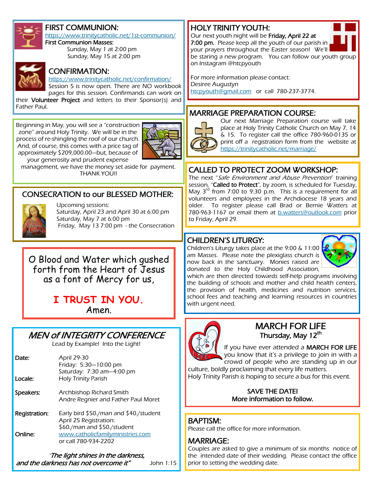

### FIRST COMMUNION:

<https://www.trinitycatholic.net/1st-communion/>

First Communion Masses: Sunday, May 1 at 2:00 pm Sunday, May 15 at 2:00 pm



#### CONFIRMATION:

<https://www.trinitycatholic.net/confirmation/> Session 5 is now open. There are NO workbook

pages for this session. Confirmands can work on their Volunteer Project and letters to their Sponsor(s) and

Father Paul.

Beginning in May, you will see a "construction zone" around Holy Trinity. We will be in the process of re-shingling the roof of our church. And, of course, this comes with a price tag of approximately \$209,000.00—but, because of your generosity and prudent expense



management, we have the money set aside for payment. THANK YOU!!

### CONSECRATION to our BLESSED MOTHER:



Upcoming sessions: Saturday, April 23 and April 30 at 6:00 pm Saturday, May 7 at 6:00 pm Friday, May 13 7:00 pm - the Consecration

O Blood and Water which gushed forth from the Heart of Jesus as a font of Mercy for us,

> **I TRUST IN YOU.** Amen.

# MEN of INTEGRITY CONFERENCE

Lead by Example! Into the Light!

| Date:<br>Locale: | April 29-30<br>Friday: 5:30-10:00 pm<br>Saturday: 7:30 am-4:00 pm<br><b>Holy Trinity Parish</b> |
|------------------|-------------------------------------------------------------------------------------------------|
| Speakers:        | Archbishop Richard Smith<br>Andre Regnier and Father Paul Moret                                 |
| Registration:    | Early bird \$50./man and \$40./student<br>April 25 Registration:<br>\$60./man and \$50./student |
| Online:          | www.catholicfamilyministries.com<br>or call 780-934-2202                                        |

"The light shines in the darkness, and the darkness has not overcome it" John 1:15

# HOLY TRINITY YOUTH:

7:00 pm. Please keep all the youth of our parish in your prayers throughout the Easter season! We'll be staring a new program. You can follow our youth group on Instagram @htcpyouth

For more information please contact: Desiree Augustyn [htcpyouth@gmail.com](mailto:htcpyouth@gmail.com) or call 780-237-3774.

Our next youth night will be Friday, April 22 at

## MARRIAGE PREPARATION COURSE:



Our next Marriage Preparation course will take place at Holy Trinity Catholic Church on May 7, 14 & 15. To register call the office 780-960-0135 or print off a registration form from the website at <https://trinitycatholic.net/marriage/>

### CALLED TO PROTECT ZOOM WORKSHOP:

The next "Safe Environment and Abuse Prevention" training session, "Called to Protect", by zoom, is scheduled for Tuesday, May 3<sup>rd</sup> from 7:00 to 9:30 p.m. This is a requirement for all volunteers and employees in the Archdiocese 18 years and older. To register please call Brad or Bernie Watters at 780-963-1167 or email them at [b.watters@outlook.com](mailto:b.watters@outlook.com) prior to Friday, April 29.

#### CHILDREN'S LITURGY:

Children's Liturgy takes place at the 9:00 & 11:00 am Masses. Please note the plexiglass church is now back in the sanctuary. Monies raised are donated to the Holy Childhood Association,



which are then directed towards self-help programs involving the building of schools and mother and child health centers, the provision of health, medicines and nutrition services, school fees and teaching and learning resources in countries with urgent need.



MARCH FOR LIFE Thursday, May 12<sup>th</sup>

If you have ever attended a MARCH FOR LIFE you know that it's a privilege to join in with a

crowd of people who are standing up in our culture, boldly proclaiming that every life matters.

Holy Trinity Parish is hoping to secure a bus for this event.

SAVE THE DATE! More information to follow.

# BAPTISM:

Please call the office for more information.

# MARRIAGE:

Couples are asked to give a minimum of six months notice of the intended date of their wedding. Please contact the office prior to setting the wedding date.